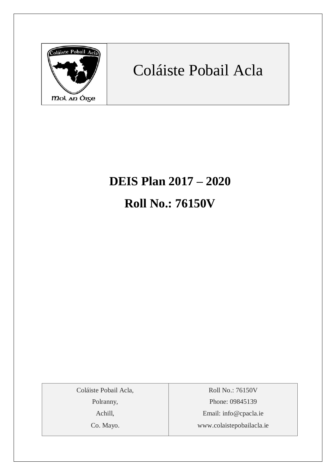

## Coláiste Pobail Acla

# **DEIS Plan 2017 – 2020 Roll No.: 76150V**

Coláiste Pobail Acla,

Polranny,

Achill,

Co. Mayo.

Roll No.: 76150V Phone: 09845139 Email: [info@cpacla.ie](mailto:info@cpacla.ie) www.colaistepobailacla.ie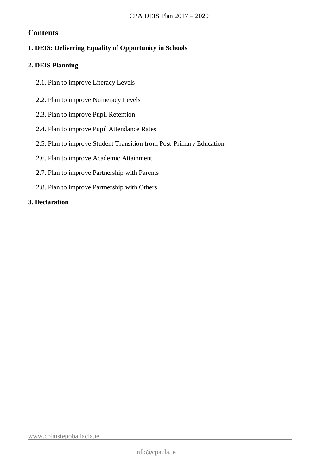## **Contents**

## **1. DEIS: Delivering Equality of Opportunity in Schools**

## **2. DEIS Planning**

- 2.1. Plan to improve Literacy Levels
- 2.2. Plan to improve Numeracy Levels
- 2.3. Plan to improve Pupil Retention
- 2.4. Plan to improve Pupil Attendance Rates
- 2.5. Plan to improve Student Transition from Post-Primary Education
- 2.6. Plan to improve Academic Attainment
- 2.7. Plan to improve Partnership with Parents
- 2.8. Plan to improve Partnership with Others

## **3. Declaration**

[www.colaistepobailacla.ie](http://www.colaistepobailacla.ie/)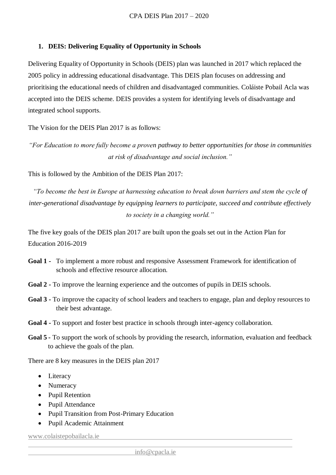## **1. DEIS: Delivering Equality of Opportunity in Schools**

Delivering Equality of Opportunity in Schools (DEIS) plan was launched in 2017 which replaced the 2005 policy in addressing educational disadvantage. This DEIS plan focuses on addressing and prioritising the educational needs of children and disadvantaged communities. Coláiste Pobail Acla was accepted into the DEIS scheme. DEIS provides a system for identifying levels of disadvantage and integrated school supports.

The Vision for the DEIS Plan 2017 is as follows:

*"For Education to more fully become a proven pathway to better opportunities for those in communities at risk of disadvantage and social inclusion."* 

This is followed by the Ambition of the DEIS Plan 2017:

*"To become the best in Europe at harnessing education to break down barriers and stem the cycle of inter-generational disadvantage by equipping learners to participate, succeed and contribute effectively to society in a changing world."*

The five key goals of the DEIS plan 2017 are built upon the goals set out in the Action Plan for Education 2016-2019

- **Goal 1 -** To implement a more robust and responsive Assessment Framework for identification of schools and effective resource allocation.
- **Goal 2 -** To improve the learning experience and the outcomes of pupils in DEIS schools.
- **Goal 3 -** To improve the capacity of school leaders and teachers to engage, plan and deploy resources to their best advantage.
- **Goal 4 -** To support and foster best practice in schools through inter-agency collaboration.
- **Goal 5 -** To support the work of schools by providing the research, information, evaluation and feedback to achieve the goals of the plan.

There are 8 key measures in the DEIS plan 2017

- Literacy
- Numeracy
- Pupil Retention
- Pupil Attendance
- Pupil Transition from Post-Primary Education
- Pupil Academic Attainment

[www.colaistepobailacla.ie](http://www.colaistepobailacla.ie/)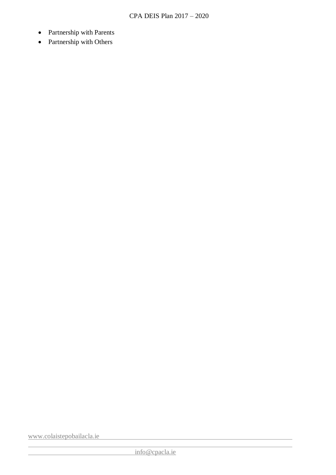- Partnership with Parents
- Partnership with Others

[www.colaistepobailacla.ie](http://www.colaistepobailacla.ie/)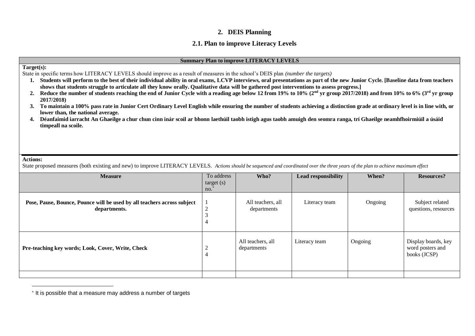## **2. DEIS Planning**

## **2.1. Plan to improve Literacy Levels**

#### **Summary Plan to improve LITERACY LEVELS**

#### **Target(s):**

State in specific terms how LITERACY LEVELS should improve as a result of measures in the school's DEIS plan *(number the targets)*

- **1. Students will perform to the best of their individual ability in oral exams, LCVP interviews, oral presentations as part of the new Junior Cycle. [Baseline data from teachers shows that students struggle to articulate all they know orally. Qualitative data will be gathered post interventions to assess progress.]**
- **2. Reduce the number of students reaching the end of Junior Cycle with a reading age below 12 from 19% to 10% (2nd yr group 2017/2018) and from 10% to 6% (3rd yr group 2017/2018)**
- **3. To maintain a 100% pass rate in Junior Cert Ordinary Level English while ensuring the number of students achieving a distinction grade at ordinary level is in line with, or lower than, the national average.**
- **4. Déanfaimid iarracht An Ghaeilge a chur chun cinn inár scoil ar bhonn laethúil taobh istigh agus taobh amuigh den seomra ranga, trí Ghaeilge neamhfhoirmiúil a úsáid timpeall na scoile.**

#### **Actions:**

 $\overline{a}$ 

State proposed measures (both existing and new) to improve LITERACY LEVELS. *Actions should be sequenced and coordinated over the three years of the plan to achieve maximum effect*

| <b>Measure</b>                                                                          | To address<br>target(s)<br>no. | Who?                             | Lead responsibility | When?   | <b>Resources?</b>                                       |
|-----------------------------------------------------------------------------------------|--------------------------------|----------------------------------|---------------------|---------|---------------------------------------------------------|
| Pose, Pause, Bounce, Pounce will be used by all teachers across subject<br>departments. |                                | All teachers, all<br>departments | Literacy team       | Ongoing | Subject related<br>questions, resources                 |
| Pre-teaching key words; Look, Cover, Write, Check                                       |                                | All teachers, all<br>departments | Literacy team       | Ongoing | Display boards, key<br>word posters and<br>books (JCSP) |
|                                                                                         |                                |                                  |                     |         |                                                         |

<sup>\*</sup> It is possible that a measure may address a number of targets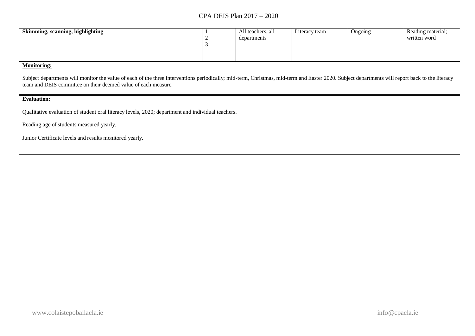| Skimming, scanning, highlighting | All teachers, all<br>departments | Literacy team | Ongoing | Reading material;<br>written word |
|----------------------------------|----------------------------------|---------------|---------|-----------------------------------|
|                                  |                                  |               |         |                                   |

## **Monitoring:**

Subject departments will monitor the value of each of the three interventions periodically; mid-term, Christmas, mid-term and Easter 2020. Subject departments will report back to the literacy team and DEIS committee on their deemed value of each measure.

#### **Evaluation:**

Qualitative evaluation of student oral literacy levels, 2020; department and individual teachers.

Reading age of students measured yearly.

Junior Certificate levels and results monitored yearly.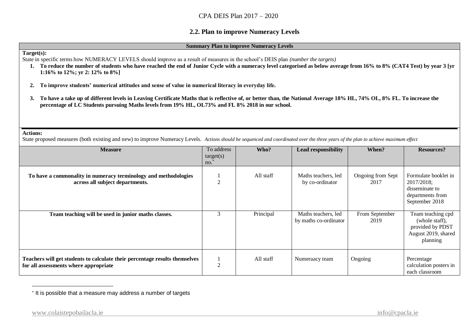## **2.2. Plan to improve Numeracy Levels**

#### **Summary Plan to improve Numeracy Levels**

#### **Target(s):**

State in specific terms how NUMERACY LEVELS should improve as a result of measures in the school's DEIS plan *(number the targets)*

- **1. To reduce the number of students who have reached the end of Junior Cycle with a numeracy level categorised as below average from 16% to 8% (CAT4 Test) by year 3 [yr 1:16% to 12%; yr 2: 12% to 8%]**
- **2. To improve students' numerical attitudes and sense of value in numerical literacy in everyday life.**
- **3. To have a take up of different levels in Leaving Certificate Maths that is reflective of, or better than, the National Average 18% HL, 74% OL, 8% FL. To increase the percentage of LC Students pursuing Maths levels from 19% HL, OL73% and FL 8% 2018 in our school.**

#### **Actions:**

 $\overline{a}$ 

State proposed measures (both existing and new) to improve Numeracy Levels. *Actions should be sequenced and coordinated over the three years of the plan to achieve maximum effect*

| <b>Measure</b>                                                                                                       | To address<br>target(s)<br>no. | Who?      | <b>Lead responsibility</b>                   | When?                     | <b>Resources?</b>                                                                          |
|----------------------------------------------------------------------------------------------------------------------|--------------------------------|-----------|----------------------------------------------|---------------------------|--------------------------------------------------------------------------------------------|
| To have a commonality in numeracy terminology and methodologies<br>across all subject departments.                   |                                | All staff | Maths teachers, led<br>by co-ordinator       | Ongoing from Sept<br>2017 | Formulate booklet in<br>2017/2018;<br>disseminate to<br>departments from<br>September 2018 |
| Team teaching will be used in junior maths classes.                                                                  |                                | Principal | Maths teachers, led<br>by maths co-ordinator | From September<br>2019    | Team teaching cpd<br>(whole staff),<br>provided by PDST<br>August 2019, shared<br>planning |
| Teachers will get students to calculate their percentage results themselves<br>for all assessments where appropriate | ↑                              | All staff | Numeraacy team                               | Ongoing                   | Percentage<br>calculation posters in<br>each classroom                                     |

<sup>\*</sup> It is possible that a measure may address a number of targets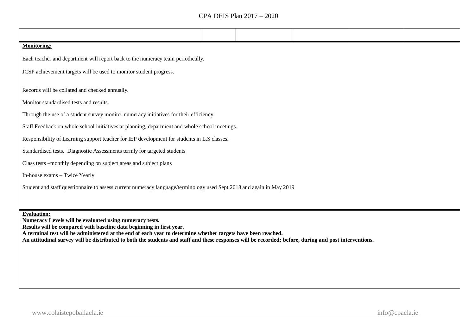| <b>Monitoring:</b>                                                                                                   |  |  |  |  |  |  |  |  |
|----------------------------------------------------------------------------------------------------------------------|--|--|--|--|--|--|--|--|
| Each teacher and department will report back to the numeracy team periodically.                                      |  |  |  |  |  |  |  |  |
| JCSP achievement targets will be used to monitor student progress.                                                   |  |  |  |  |  |  |  |  |
|                                                                                                                      |  |  |  |  |  |  |  |  |
| Records will be collated and checked annually.                                                                       |  |  |  |  |  |  |  |  |
| Monitor standardised tests and results.                                                                              |  |  |  |  |  |  |  |  |
| Through the use of a student survey monitor numeracy initiatives for their efficiency.                               |  |  |  |  |  |  |  |  |
| Staff Feedback on whole school initiatives at planning, department and whole school meetings.                        |  |  |  |  |  |  |  |  |
| Responsibility of Learning support teacher for IEP development for students in L.S classes.                          |  |  |  |  |  |  |  |  |
| Standardised tests. Diagnostic Assessments termly for targeted students                                              |  |  |  |  |  |  |  |  |
| Class tests -monthly depending on subject areas and subject plans                                                    |  |  |  |  |  |  |  |  |
| In-house exams – Twice Yearly                                                                                        |  |  |  |  |  |  |  |  |
| Student and staff questionnaire to assess current numeracy language/terminology used Sept 2018 and again in May 2019 |  |  |  |  |  |  |  |  |

**Evaluation:**

**Numeracy Levels will be evaluated using numeracy tests.**

**Results will be compared with baseline data beginning in first year.**

**A terminal test will be administered at the end of each year to determine whether targets have been reached.**

**An attitudinal survey will be distributed to both the students and staff and these responses will be recorded; before, during and post interventions.**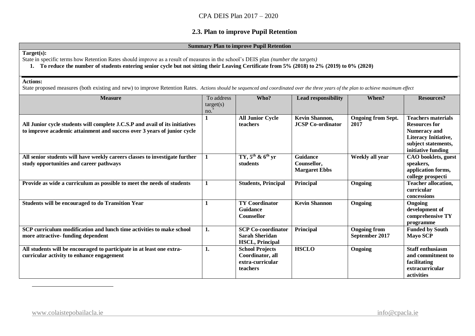## **2.3. Plan to improve Pupil Retention**

#### **Summary Plan to improve Pupil Retention**

#### **Target(s):**

State in specific terms how Retention Rates should improve as a result of measures in the school's DEIS plan *(number the targets)*

**1. To reduce the number of students entering senior cycle but not sitting their Leaving Certificate from 5% (2018) to 2% (2019) to 0% (2020)**

#### **Actions:**

State proposed measures (both existing and new) to improve Retention Rates. *Actions should be sequenced and coordinated over the three years of the plan to achieve maximum effect*

| <b>Measure</b>                                                                                                                                          | To address<br>target(s) | Who?                                                                         | <b>Lead responsibility</b>                             | When?                                 | <b>Resources?</b>                                                                                                                             |
|---------------------------------------------------------------------------------------------------------------------------------------------------------|-------------------------|------------------------------------------------------------------------------|--------------------------------------------------------|---------------------------------------|-----------------------------------------------------------------------------------------------------------------------------------------------|
|                                                                                                                                                         | no.                     |                                                                              |                                                        |                                       |                                                                                                                                               |
| All Junior cycle students will complete J.C.S.P and avail of its initiatives<br>to improve academic attainment and success over 3 years of junior cycle |                         | <b>All Junior Cycle</b><br>teachers                                          | Kevin Shannon,<br><b>JCSP Co-ordinator</b>             | <b>Ongoing from Sept.</b><br>2017     | <b>Teachers materials</b><br><b>Resources for</b><br><b>Numeracy and</b><br>Literacy Initiative,<br>subject statements,<br>initiative funding |
| All senior students will have weekly careers classes to investigate further<br>study opportunities and career pathways                                  |                         | TY, $5^{th}$ & $6^{th}$ yr<br>students                                       | <b>Guidance</b><br>Counsellor.<br><b>Margaret Ebbs</b> | Weekly all year                       | CAO booklets, guest<br>speakers,<br>application forms,<br>college prospecti                                                                   |
| Provide as wide a curriculum as possible to meet the needs of students                                                                                  | $\mathbf{1}$            | <b>Students, Principal</b>                                                   | Principal                                              | Ongoing                               | <b>Teacher allocation,</b><br>curricular<br>concessions                                                                                       |
| <b>Students will be encouraged to do Transition Year</b>                                                                                                |                         | <b>TY Coordinator</b><br><b>Guidance</b><br><b>Counsellor</b>                | <b>Kevin Shannon</b>                                   | Ongoing                               | Ongoing<br>development of<br>comprehensive TY<br>programme                                                                                    |
| SCP curriculum modification and lunch time activities to make school<br>more attractive-funding dependent                                               | 1.                      | <b>SCP Co-coordinator</b><br><b>Sarah Sheridan</b><br><b>HSCL, Principal</b> | Principal                                              | <b>Ongoing from</b><br>September 2017 | <b>Funded by South</b><br><b>Mayo SCP</b>                                                                                                     |
| All students will be encouraged to participate in at least one extra-<br>curricular activity to enhance engagement                                      | 1.                      | <b>School Projects</b><br>Coordinator, all<br>extra-curricular<br>teachers   | <b>HSCLO</b>                                           | Ongoing                               | <b>Staff enthusiasm</b><br>and commitment to<br>facilitating<br>extracurricular<br>activities                                                 |

 $\overline{a}$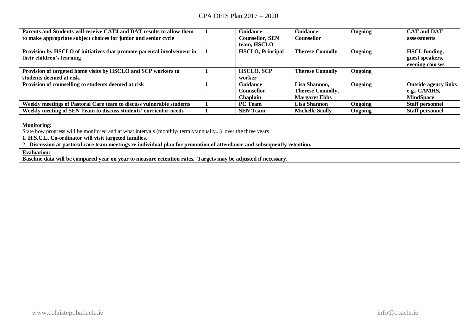| Parents and Students will receive CAT4 and DAT results to allow them   | <b>Guidance</b>         | <b>Guidance</b>          | Ongoing | <b>CAT and DAT</b>          |
|------------------------------------------------------------------------|-------------------------|--------------------------|---------|-----------------------------|
| to make appropriate subject choices for junior and senior cycle        | <b>Counsellor, SEN</b>  | Counsellor               |         | assessments                 |
|                                                                        | team, HSCLO             |                          |         |                             |
| Provision by HSCLO of initiatives that promote parental involvement in | <b>HSCLO, Principal</b> | <b>Therese Connolly</b>  | Ongoing | <b>HSCL</b> funding,        |
| their children's learning                                              |                         |                          |         | guest speakers,             |
|                                                                        |                         |                          |         | evening courses             |
| Provision of targeted home visits by HSCLO and SCP workers to          | <b>HSCLO, SCP</b>       | <b>Therese Connolly</b>  | Ongoing |                             |
| students deemed at risk.                                               | worker                  |                          |         |                             |
| Provision of counselling to students deemed at risk                    | <b>Guidance</b>         | Lisa Shannon,            | Ongoing | <b>Outside agency links</b> |
|                                                                        | Counsellor.             | <b>Therese Connolly,</b> |         | e.g., CAMHS,                |
|                                                                        | Chaplain                | <b>Margaret Ebbs</b>     |         | <b>MindSpace</b>            |
| Weekly meetings of Pastoral Care team to discuss vulnerable students   | <b>PC</b> Team          | Lisa Shannon             | Ongoing | <b>Staff personnel</b>      |
| Weekly meeting of SEN Team to discuss students' curricular needs       | <b>SEN Team</b>         | <b>Michelle Scully</b>   | Ongoing | <b>Staff personnel</b>      |
|                                                                        |                         |                          |         |                             |

#### **Monitoring:**

State how progress will be monitored and at what intervals (monthly/ termly/annually...) over the three years

**1. H.S.C.L. Co-ordinator will visit targeted families.**

**2. Discussion at pastoral care team meetings re individual plan for promotion of attendance and subsequently retention.**

## **Evaluation:**

**Baseline data will be compared year on year to measure retention rates. Targets may be adjusted if necessary.**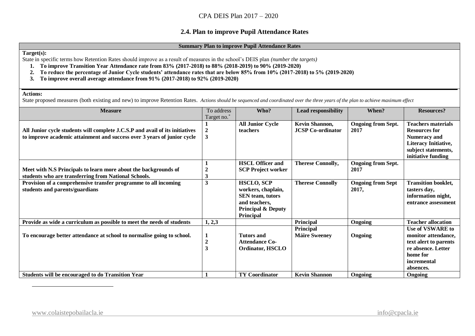## **2.4. Plan to improve Pupil Attendance Rates**

#### **Summary Plan to improve Pupil Attendance Rates**

#### **Target(s):**

State in specific terms how Retention Rates should improve as a result of measures in the school's DEIS plan *(number the targets)*

- **1. To improve Transition Year Attendance rate from 83% (2017-2018) to 88% (2018-2019) to 90% (2019-2020)**
- **2. To reduce the percentage of Junior Cycle students' attendance rates that are below 85% from 10% (2017-2018) to 5% (2019-2020)**
- **3. To improve overall average attendance from 91% (2017-2018) to 92% (2019-2020)**

#### **Actions:**

 $\overline{a}$ 

State proposed measures (both existing and new) to improve Retention Rates. *Actions should be sequenced and coordinated over the three years of the plan to achieve maximum effect*

| <b>Measure</b>                                                                                                                                          | To address            | Who?                                                                                                                              | <b>Lead responsibility</b>                 | When?                             | <b>Resources?</b>                                                                                                                             |
|---------------------------------------------------------------------------------------------------------------------------------------------------------|-----------------------|-----------------------------------------------------------------------------------------------------------------------------------|--------------------------------------------|-----------------------------------|-----------------------------------------------------------------------------------------------------------------------------------------------|
|                                                                                                                                                         | Target no.*           |                                                                                                                                   |                                            |                                   |                                                                                                                                               |
| All Junior cycle students will complete J.C.S.P and avail of its initiatives<br>to improve academic attainment and success over 3 years of junior cycle | $\boldsymbol{2}$<br>3 | <b>All Junior Cycle</b><br>teachers                                                                                               | Kevin Shannon,<br><b>JCSP Co-ordinator</b> | <b>Ongoing from Sept.</b><br>2017 | <b>Teachers materials</b><br><b>Resources for</b><br><b>Numeracy and</b><br>Literacy Initiative,<br>subject statements,<br>initiative funding |
| Meet with N.S Principals to learn more about the backgrounds of<br>students who are transferring from National Schools.                                 | 3                     | <b>HSCL Officer and</b><br><b>SCP Project worker</b>                                                                              | <b>Therese Connolly,</b>                   | <b>Ongoing from Sept.</b><br>2017 |                                                                                                                                               |
| Provision of a comprehensive transfer programme to all incoming<br>students and parents/guardians                                                       | 3                     | <b>HSCLO, SCP</b><br>workers, chaplain,<br><b>SEN</b> team, tutors<br>and teachers,<br><b>Principal &amp; Deputy</b><br>Principal | <b>Therese Connolly</b>                    | <b>Ongoing from Sept</b><br>2017, | <b>Transition booklet,</b><br>tasters day,<br>information night,<br>entrance assessment                                                       |
| Provide as wide a curriculum as possible to meet the needs of students                                                                                  | 1, 2, 3               |                                                                                                                                   | <b>Principal</b>                           | Ongoing                           | <b>Teacher allocation</b>                                                                                                                     |
| To encourage better attendance at school to normalise going to school.                                                                                  | $\boldsymbol{2}$<br>3 | <b>Tutors and</b><br><b>Attendance Co-</b><br>Ordinator, HSCLO                                                                    | <b>Principal</b><br><b>Máire Sweeney</b>   | Ongoing                           | Use of VSWARE to<br>monitor attendance,<br>text alert to parents<br>re absence. Letter<br>home for<br>incremental<br>absences.                |
| Students will be encouraged to do Transition Year                                                                                                       |                       | <b>TY Coordinator</b>                                                                                                             | <b>Kevin Shannon</b>                       | Ongoing                           | Ongoing                                                                                                                                       |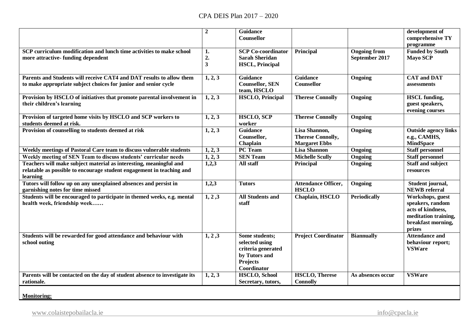|                                                                                                                                                         | $\boldsymbol{2}$                                  | <b>Guidance</b><br>Counsellor                                                                      |                                                                   |                                       | development of<br>comprehensive TY<br>programme                                                                   |
|---------------------------------------------------------------------------------------------------------------------------------------------------------|---------------------------------------------------|----------------------------------------------------------------------------------------------------|-------------------------------------------------------------------|---------------------------------------|-------------------------------------------------------------------------------------------------------------------|
| SCP curriculum modification and lunch time activities to make school<br>more attractive-funding dependent                                               | 1.<br>$\overline{2}$ .<br>$\overline{\mathbf{3}}$ | <b>SCP Co-coordinator</b><br><b>Sarah Sheridan</b><br><b>HSCL, Principal</b>                       | Principal                                                         | <b>Ongoing from</b><br>September 2017 | <b>Funded by South</b><br><b>Mayo SCP</b>                                                                         |
| Parents and Students will receive CAT4 and DAT results to allow them<br>to make appropriate subject choices for junior and senior cycle                 | 1, 2, 3                                           | <b>Guidance</b><br><b>Counsellor, SEN</b><br>team, HSCLO                                           | <b>Guidance</b><br>Counsellor                                     | Ongoing                               | <b>CAT</b> and <b>DAT</b><br>assessments                                                                          |
| Provision by HSCLO of initiatives that promote parental involvement in<br>their children's learning                                                     | 1, 2, 3                                           | <b>HSCLO, Principal</b>                                                                            | <b>Therese Connolly</b>                                           | Ongoing                               | <b>HSCL</b> funding,<br>guest speakers,<br>evening courses                                                        |
| Provision of targeted home visits by HSCLO and SCP workers to<br>students deemed at risk.                                                               | 1, 2, 3                                           | <b>HSCLO, SCP</b><br>worker                                                                        | <b>Therese Connolly</b>                                           | Ongoing                               |                                                                                                                   |
| Provision of counselling to students deemed at risk                                                                                                     | 1, 2, 3                                           | <b>Guidance</b><br>Counsellor,<br>Chaplain                                                         | Lisa Shannon,<br><b>Therese Connolly,</b><br><b>Margaret Ebbs</b> | Ongoing                               | <b>Outside agency links</b><br>e.g., CAMHS,<br><b>MindSpace</b>                                                   |
| Weekly meetings of Pastoral Care team to discuss vulnerable students                                                                                    | 1, 2, 3                                           | PC Team                                                                                            | <b>Lisa Shannon</b>                                               | Ongoing                               | <b>Staff personnel</b>                                                                                            |
| Weekly meeting of SEN Team to discuss students' curricular needs                                                                                        | 1, 2, 3                                           | <b>SEN Team</b>                                                                                    | <b>Michelle Scully</b>                                            | Ongoing                               | <b>Staff personnel</b>                                                                                            |
| Teachers will make subject material as interesting, meaningful and<br>relatable as possible to encourage student engagement in teaching and<br>learning | 1,2,3                                             | All staff                                                                                          | Principal                                                         | Ongoing                               | <b>Staff and subject</b><br>resources                                                                             |
| Tutors will follow up on any unexplained absences and persist in<br>garnishing notes for time missed                                                    | 1,2,3                                             | <b>Tutors</b>                                                                                      | <b>Attendance Officer,</b><br><b>HSCLO</b>                        | Ongoing                               | Student journal,<br><b>NEWB</b> referral                                                                          |
| Students will be encouraged to participate in themed weeks, e.g. mental<br>health week, friendship week                                                 | 1, 2, 3                                           | <b>All Students and</b><br>staff                                                                   | Chaplain, HSCLO                                                   | <b>Periodically</b>                   | Workshops, guest<br>speakers, random<br>acts of kindness,<br>meditation training,<br>breakfast morning,<br>prizes |
| Students will be rewarded for good attendance and behaviour with<br>school outing                                                                       | 1, 2, 3                                           | Some students;<br>selected using<br>criteria generated<br>by Tutors and<br>Projects<br>Coordinator | <b>Project Coordinator</b>                                        | <b>Biannually</b>                     | <b>Attendance and</b><br>behaviour report;<br><b>VSWare</b>                                                       |
| Parents will be contacted on the day of student absence to investigate its<br>rationale.                                                                | 1, 2, 3                                           | <b>HSCLO, School</b><br>Secretary, tutors,                                                         | <b>HSCLO, Therese</b><br><b>Connolly</b>                          | As absences occur                     | <b>VSWare</b>                                                                                                     |
|                                                                                                                                                         |                                                   |                                                                                                    |                                                                   |                                       |                                                                                                                   |

**Monitoring:**

[www.colaistepobailacla.ie](http://www.colaistepobailacla.ie/) info@cpacla.ie info@cpacla.ie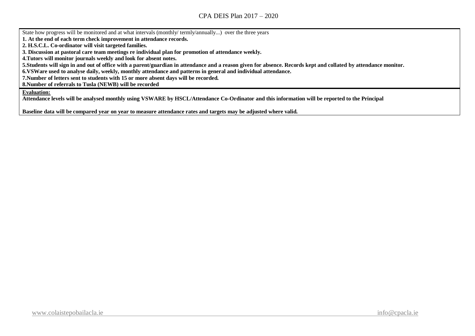State how progress will be monitored and at what intervals (monthly/ termly/annually...) over the three years

**1. At the end of each term check improvement in attendance records.**

**2. H.S.C.L. Co-ordinator will visit targeted families.**

**3. Discussion at pastoral care team meetings re individual plan for promotion of attendance weekly.**

**4.Tutors will monitor journals weekly and look for absent notes.**

**5.Students will sign in and out of office with a parent/guardian in attendance and a reason given for absence. Records kept and collated by attendance monitor.**

**6.VSWare used to analyse daily, weekly, monthly attendance and patterns in general and individual attendance.**

**7.Number of letters sent to students with 15 or more absent days will be recorded.**

**8.Number of referrals to Tusla (NEWB) will be recorded**

**Evaluation:**

**Attendance levels will be analysed monthly using VSWARE by HSCL/Attendance Co-Ordinator and this information will be reported to the Principal**

**Baseline data will be compared year on year to measure attendance rates and targets may be adjusted where valid.**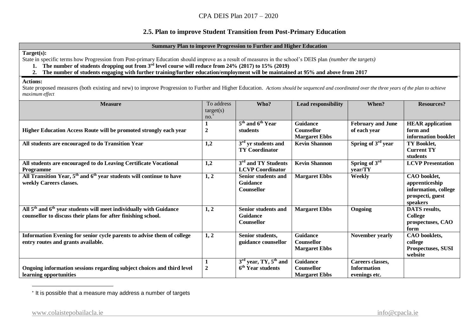## **2.5. Plan to improve Student Transition from Post-Primary Education**

#### **Summary Plan to improve Progression to Further and Higher Education**

**Target(s):** 

State in specific terms how Progression from Post-primary Education should improve as a result of measures in the school's DEIS plan *(number the targets)*

- 1. The number of students dropping out from 3<sup>*rd*</sup> level course will reduce from 24% (2017) to 15% (2019)<br>2. The number of students engaging with further training/further education/employment will be maintain
	- **2. The number of students engaging with further training/further education/employment will be maintained at 95% and above from 2017**

#### **Actions:**

State proposed measures (both existing and new) to improve Progression to Further and Higher Education. *Actions should be sequenced and coordinated over the three years of the plan to achieve maximum effect*

| no.<br>5 <sup>th</sup> and 6 <sup>th</sup> Year<br><b>Guidance</b><br><b>February and June</b><br><b>HEAR</b> application<br>Higher Education Access Route will be promoted strongly each year<br>$\overline{2}$<br><b>Counsellor</b><br>of each year<br>form and<br>students<br>information booklet<br><b>Margaret Ebbs</b><br>Spring of $3rd$ year<br>All students are encouraged to do Transition Year<br>$3rd$ yr students and<br>1,2<br><b>Kevin Shannon</b><br>TY Booklet,<br><b>TY Coordinator</b><br><b>Current TY</b><br>students<br>Spring of $3^{\overline{rd}}$<br>3 <sup>rd</sup> and TY Students<br><b>Kevin Shannon</b><br>All students are encouraged to do Leaving Certificate Vocational<br>1,2<br><b>LCVP</b> Presentation<br><b>LCVP</b> Coordinator<br>year/TY<br>Programme<br>All Transition Year, 5 <sup>th</sup> and 6 <sup>th</sup> year students will continue to have<br>Weekly<br>1, 2<br><b>Margaret Ebbs</b><br>CAO booklet,<br>Senior students and<br>weekly Careers classes.<br><b>Guidance</b><br>apprenticeship<br><b>Counsellor</b><br>information, college<br>prospecti, guest<br>speakers<br>All 5 <sup>th</sup> and 6 <sup>th</sup> year students will meet individually with Guidance<br>1, 2<br>Senior students and<br><b>Margaret Ebbs</b><br>Ongoing<br>DATS results,<br>counsellor to discuss their plans for after finishing school.<br><b>Guidance</b><br>College<br><b>Counsellor</b><br>prospectuses, CAO<br>form<br><b>Guidance</b><br>Information Evening for senior cycle parents to advise them of college<br>1, 2<br>Senior students,<br>November yearly<br>CAO booklets,<br>entry routes and grants available.<br>guidance counsellor<br>Counsellor<br>college<br><b>Margaret Ebbs</b><br>Prospectuses, SUSI<br>website<br>$3rd$ year, TY, $5th$ and<br><b>Guidance</b><br>Careers classes, | <b>Measure</b>                                                         | To address<br>target(s) | Who?                | <b>Lead responsibility</b> | When?              | <b>Resources?</b> |
|--------------------------------------------------------------------------------------------------------------------------------------------------------------------------------------------------------------------------------------------------------------------------------------------------------------------------------------------------------------------------------------------------------------------------------------------------------------------------------------------------------------------------------------------------------------------------------------------------------------------------------------------------------------------------------------------------------------------------------------------------------------------------------------------------------------------------------------------------------------------------------------------------------------------------------------------------------------------------------------------------------------------------------------------------------------------------------------------------------------------------------------------------------------------------------------------------------------------------------------------------------------------------------------------------------------------------------------------------------------------------------------------------------------------------------------------------------------------------------------------------------------------------------------------------------------------------------------------------------------------------------------------------------------------------------------------------------------------------------------------------------------------------------------------------------------------------------------------------|------------------------------------------------------------------------|-------------------------|---------------------|----------------------------|--------------------|-------------------|
|                                                                                                                                                                                                                                                                                                                                                                                                                                                                                                                                                                                                                                                                                                                                                                                                                                                                                                                                                                                                                                                                                                                                                                                                                                                                                                                                                                                                                                                                                                                                                                                                                                                                                                                                                                                                                                                  |                                                                        |                         |                     |                            |                    |                   |
|                                                                                                                                                                                                                                                                                                                                                                                                                                                                                                                                                                                                                                                                                                                                                                                                                                                                                                                                                                                                                                                                                                                                                                                                                                                                                                                                                                                                                                                                                                                                                                                                                                                                                                                                                                                                                                                  |                                                                        |                         |                     |                            |                    |                   |
|                                                                                                                                                                                                                                                                                                                                                                                                                                                                                                                                                                                                                                                                                                                                                                                                                                                                                                                                                                                                                                                                                                                                                                                                                                                                                                                                                                                                                                                                                                                                                                                                                                                                                                                                                                                                                                                  |                                                                        |                         |                     |                            |                    |                   |
|                                                                                                                                                                                                                                                                                                                                                                                                                                                                                                                                                                                                                                                                                                                                                                                                                                                                                                                                                                                                                                                                                                                                                                                                                                                                                                                                                                                                                                                                                                                                                                                                                                                                                                                                                                                                                                                  |                                                                        |                         |                     |                            |                    |                   |
|                                                                                                                                                                                                                                                                                                                                                                                                                                                                                                                                                                                                                                                                                                                                                                                                                                                                                                                                                                                                                                                                                                                                                                                                                                                                                                                                                                                                                                                                                                                                                                                                                                                                                                                                                                                                                                                  |                                                                        |                         |                     |                            |                    |                   |
|                                                                                                                                                                                                                                                                                                                                                                                                                                                                                                                                                                                                                                                                                                                                                                                                                                                                                                                                                                                                                                                                                                                                                                                                                                                                                                                                                                                                                                                                                                                                                                                                                                                                                                                                                                                                                                                  |                                                                        |                         |                     |                            |                    |                   |
|                                                                                                                                                                                                                                                                                                                                                                                                                                                                                                                                                                                                                                                                                                                                                                                                                                                                                                                                                                                                                                                                                                                                                                                                                                                                                                                                                                                                                                                                                                                                                                                                                                                                                                                                                                                                                                                  |                                                                        |                         |                     |                            |                    |                   |
|                                                                                                                                                                                                                                                                                                                                                                                                                                                                                                                                                                                                                                                                                                                                                                                                                                                                                                                                                                                                                                                                                                                                                                                                                                                                                                                                                                                                                                                                                                                                                                                                                                                                                                                                                                                                                                                  |                                                                        |                         |                     |                            |                    |                   |
|                                                                                                                                                                                                                                                                                                                                                                                                                                                                                                                                                                                                                                                                                                                                                                                                                                                                                                                                                                                                                                                                                                                                                                                                                                                                                                                                                                                                                                                                                                                                                                                                                                                                                                                                                                                                                                                  |                                                                        |                         |                     |                            |                    |                   |
|                                                                                                                                                                                                                                                                                                                                                                                                                                                                                                                                                                                                                                                                                                                                                                                                                                                                                                                                                                                                                                                                                                                                                                                                                                                                                                                                                                                                                                                                                                                                                                                                                                                                                                                                                                                                                                                  |                                                                        |                         |                     |                            |                    |                   |
|                                                                                                                                                                                                                                                                                                                                                                                                                                                                                                                                                                                                                                                                                                                                                                                                                                                                                                                                                                                                                                                                                                                                                                                                                                                                                                                                                                                                                                                                                                                                                                                                                                                                                                                                                                                                                                                  |                                                                        |                         |                     |                            |                    |                   |
|                                                                                                                                                                                                                                                                                                                                                                                                                                                                                                                                                                                                                                                                                                                                                                                                                                                                                                                                                                                                                                                                                                                                                                                                                                                                                                                                                                                                                                                                                                                                                                                                                                                                                                                                                                                                                                                  |                                                                        |                         |                     |                            |                    |                   |
|                                                                                                                                                                                                                                                                                                                                                                                                                                                                                                                                                                                                                                                                                                                                                                                                                                                                                                                                                                                                                                                                                                                                                                                                                                                                                                                                                                                                                                                                                                                                                                                                                                                                                                                                                                                                                                                  |                                                                        |                         |                     |                            |                    |                   |
|                                                                                                                                                                                                                                                                                                                                                                                                                                                                                                                                                                                                                                                                                                                                                                                                                                                                                                                                                                                                                                                                                                                                                                                                                                                                                                                                                                                                                                                                                                                                                                                                                                                                                                                                                                                                                                                  |                                                                        |                         |                     |                            |                    |                   |
|                                                                                                                                                                                                                                                                                                                                                                                                                                                                                                                                                                                                                                                                                                                                                                                                                                                                                                                                                                                                                                                                                                                                                                                                                                                                                                                                                                                                                                                                                                                                                                                                                                                                                                                                                                                                                                                  |                                                                        |                         |                     |                            |                    |                   |
|                                                                                                                                                                                                                                                                                                                                                                                                                                                                                                                                                                                                                                                                                                                                                                                                                                                                                                                                                                                                                                                                                                                                                                                                                                                                                                                                                                                                                                                                                                                                                                                                                                                                                                                                                                                                                                                  |                                                                        |                         |                     |                            |                    |                   |
|                                                                                                                                                                                                                                                                                                                                                                                                                                                                                                                                                                                                                                                                                                                                                                                                                                                                                                                                                                                                                                                                                                                                                                                                                                                                                                                                                                                                                                                                                                                                                                                                                                                                                                                                                                                                                                                  |                                                                        |                         |                     |                            |                    |                   |
|                                                                                                                                                                                                                                                                                                                                                                                                                                                                                                                                                                                                                                                                                                                                                                                                                                                                                                                                                                                                                                                                                                                                                                                                                                                                                                                                                                                                                                                                                                                                                                                                                                                                                                                                                                                                                                                  |                                                                        |                         |                     |                            |                    |                   |
|                                                                                                                                                                                                                                                                                                                                                                                                                                                                                                                                                                                                                                                                                                                                                                                                                                                                                                                                                                                                                                                                                                                                                                                                                                                                                                                                                                                                                                                                                                                                                                                                                                                                                                                                                                                                                                                  |                                                                        |                         |                     |                            |                    |                   |
|                                                                                                                                                                                                                                                                                                                                                                                                                                                                                                                                                                                                                                                                                                                                                                                                                                                                                                                                                                                                                                                                                                                                                                                                                                                                                                                                                                                                                                                                                                                                                                                                                                                                                                                                                                                                                                                  |                                                                        |                         |                     |                            |                    |                   |
|                                                                                                                                                                                                                                                                                                                                                                                                                                                                                                                                                                                                                                                                                                                                                                                                                                                                                                                                                                                                                                                                                                                                                                                                                                                                                                                                                                                                                                                                                                                                                                                                                                                                                                                                                                                                                                                  |                                                                        |                         |                     |                            |                    |                   |
|                                                                                                                                                                                                                                                                                                                                                                                                                                                                                                                                                                                                                                                                                                                                                                                                                                                                                                                                                                                                                                                                                                                                                                                                                                                                                                                                                                                                                                                                                                                                                                                                                                                                                                                                                                                                                                                  |                                                                        |                         |                     |                            |                    |                   |
|                                                                                                                                                                                                                                                                                                                                                                                                                                                                                                                                                                                                                                                                                                                                                                                                                                                                                                                                                                                                                                                                                                                                                                                                                                                                                                                                                                                                                                                                                                                                                                                                                                                                                                                                                                                                                                                  |                                                                        |                         |                     |                            |                    |                   |
|                                                                                                                                                                                                                                                                                                                                                                                                                                                                                                                                                                                                                                                                                                                                                                                                                                                                                                                                                                                                                                                                                                                                                                                                                                                                                                                                                                                                                                                                                                                                                                                                                                                                                                                                                                                                                                                  | Ongoing information sessions regarding subject choices and third level | $\overline{2}$          | $6th$ Year students | <b>Counsellor</b>          | <b>Information</b> |                   |
| <b>Margaret Ebbs</b><br>learning opportunities<br>evenings etc.                                                                                                                                                                                                                                                                                                                                                                                                                                                                                                                                                                                                                                                                                                                                                                                                                                                                                                                                                                                                                                                                                                                                                                                                                                                                                                                                                                                                                                                                                                                                                                                                                                                                                                                                                                                  |                                                                        |                         |                     |                            |                    |                   |

\* It is possible that a measure may address a number of targets

 $\overline{a}$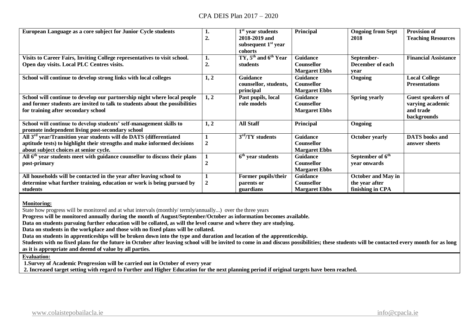| European Language as a core subject for Junior Cycle students                          | ı.             | $1st$ year students      | Principal            | <b>Ongoing from Sept</b>     | <b>Provision of</b>         |
|----------------------------------------------------------------------------------------|----------------|--------------------------|----------------------|------------------------------|-----------------------------|
|                                                                                        | 2.             | 2018-2019 and            |                      | 2018                         | <b>Teaching Resources</b>   |
|                                                                                        |                | subsequent $1st$ year    |                      |                              |                             |
|                                                                                        |                | cohorts                  |                      |                              |                             |
| Visits to Career Fairs, Inviting College representatives to visit school.              | 1.             | TY, $5th$ and $6th$ Year | Guidance             | September-                   | <b>Financial Assistance</b> |
| Open day visits. Local PLC Centres visits.                                             | 2.             | students                 | <b>Counsellor</b>    | December of each             |                             |
|                                                                                        |                |                          | <b>Margaret Ebbs</b> | vear                         |                             |
| School will continue to develop strong links with local colleges                       | 1, 2           | <b>Guidance</b>          | <b>Guidance</b>      | <b>Ongoing</b>               | <b>Local College</b>        |
|                                                                                        |                | counsellor, students,    | <b>Counsellor</b>    |                              | <b>Presentations</b>        |
|                                                                                        |                | principal                | <b>Margaret Ebbs</b> |                              |                             |
| School will continue to develop our partnership night where local people               | 1, 2           | Past pupils, local       | <b>Guidance</b>      | <b>Spring yearly</b>         | <b>Guest speakers of</b>    |
| and former students are invited to talk to students about the possibilities            |                | role models              | Counsellor           |                              | varying academic            |
| for training after secondary school                                                    |                |                          | <b>Margaret Ebbs</b> |                              | and trade                   |
|                                                                                        |                |                          |                      |                              | backgrounds                 |
| School will continue to develop students' self-management skills to                    | 1, 2           | <b>All Staff</b>         | Principal            | Ongoing                      |                             |
| promote independent living post-secondary school                                       |                |                          |                      |                              |                             |
| All 3 <sup>rd</sup> year/Transition year students will do DATS (differentiated         |                | $3rd/TY$ students        | <b>Guidance</b>      | <b>October yearly</b>        | <b>DATS</b> books and       |
| aptitude tests) to highlight their strengths and make informed decisions               | $\overline{2}$ |                          | Counsellor           |                              | answer sheets               |
| about subject choices at senior cycle.                                                 |                |                          | <b>Margaret Ebbs</b> |                              |                             |
| All 6 <sup>th</sup> year students meet with guidance counsellor to discuss their plans |                | $6th$ year students      | <b>Guidance</b>      | September of 6 <sup>th</sup> |                             |
| post-primary                                                                           | 2              |                          | <b>Counsellor</b>    | vear onwards                 |                             |
|                                                                                        |                |                          | <b>Margaret Ebbs</b> |                              |                             |
| All households will be contacted in the year after leaving school to                   |                | Former pupils/their      | <b>Guidance</b>      | <b>October and May in</b>    |                             |
| determine what further training, education or work is being pursued by                 | $\overline{2}$ | parents or               | <b>Counsellor</b>    | the year after               |                             |
| students                                                                               |                | guardians                | <b>Margaret Ebbs</b> | finishing in CPA             |                             |

**Monitoring:**

State how progress will be monitored and at what intervals (monthly/ termly/annually...) over the three years

**Progress will be monitored annually during the month of August/September/October as information becomes available.**

**Data on students pursuing further education will be collated, as will the level course and where they are studying.**

**Data on students in the workplace and those with no fixed plans will be collated.**

**Data on students in apprenticeships will be broken down into the type and duration and location of the apprenticeship.**

Students with no fixed plans for the future in October after leaving school will be invited to come in and discuss possibilities; these students will be contacted every month for as long **as it is appropriate and deemd of value by all parties.**

**Evaluation:**

**1.Survey of Academic Progression will be carried out in October of every year**

**2. Increased target setting with regard to Further and Higher Education for the next planning period if original targets have been reached.**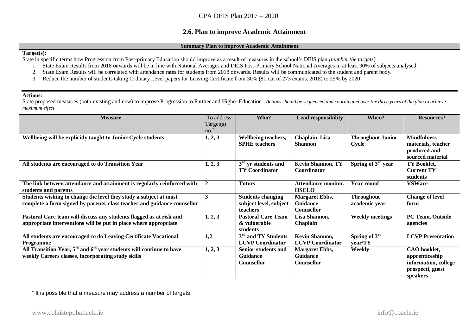#### **2.6. Plan to improve Academic Attainment**

#### **Summary Plan to improve Academic Attainment**

#### **Target(s):**

State in specific terms how Progression from Post-primary Education should improve as a result of measures in the school's DEIS plan *(number the targets)*

- 1. State Exam Results from 2018 onwards will be in line with National Averages and DEIS Post-Primary School National Averages in at least 90% of subjects analysed.
- 2. State Exam Results will be correlated with attendance rates for students from 2018 onwards. Results will be communicated to the student and parent body.
- 3. Reduce the number of students taking Ordinary Level papers for Leaving Certificate from 30% (81 out of 273 exams, 2018) to 25% by 2020

#### **Actions:**

 $\overline{a}$ 

State proposed measures (both existing and new) to improve Progression to Further and Higher Education. Actions should be sequenced and coordinated over the three years of the plan to achieve *maximum effect*

| <b>Measure</b>                                                                                                                                     | To address<br>Target(s)<br>no. | Who?                                                                  | <b>Lead responsibility</b>                             | When?                              | <b>Resources?</b>                                                                      |
|----------------------------------------------------------------------------------------------------------------------------------------------------|--------------------------------|-----------------------------------------------------------------------|--------------------------------------------------------|------------------------------------|----------------------------------------------------------------------------------------|
| Wellbeing will be explicitly taught to Junior Cycle students                                                                                       | 1, 2, 3                        | Wellbeing teachers,<br><b>SPHE</b> teachers                           | Chaplain, Lisa<br><b>Shannon</b>                       | <b>Throughout Junior</b><br>Cycle  | <b>Mindfulness</b><br>materials, teacher<br>produced and<br>sourced material           |
| All students are encouraged to do Transition Year                                                                                                  | 1, 2, 3                        | $3rd$ yr students and<br><b>TY Coordinator</b>                        | <b>Kevin Shannon, TY</b><br>Coordinator                | Spring of 3 <sup>rd</sup> year     | TY Booklet,<br><b>Current TY</b><br>students                                           |
| The link between attendance and attainment is regularly reinforced with<br>students and parents                                                    | $\overline{2}$                 | <b>Tutors</b>                                                         | Attendance monitor,<br><b>HSCLO</b>                    | <b>Year round</b>                  | <b>VSWare</b>                                                                          |
| Students wishing to change the level they study a subject at must<br>complete a form signed by parents, class teacher and guidance counsellor      | 3                              | <b>Students changing</b><br>subject level, subject<br><b>teachers</b> | <b>Margaret Ebbs,</b><br><b>Guidance</b><br>Counsellor | <b>Throughout</b><br>academic year | <b>Change of level</b><br>form                                                         |
| Pastoral Care team will discuss any students flagged as at risk and<br>appropriate interventions will be put in place where appropriate            | 1, 2, 3                        | <b>Pastoral Care Team</b><br>& vulnerable<br>students                 | Lisa Shannon,<br>Chaplain                              | <b>Weekly meetings</b>             | PC Team, Outside<br>agencies                                                           |
| All students are encouraged to do Leaving Certificate Vocational<br>Programme                                                                      | 1,2                            | 3 <sup>rd</sup> and TY Students<br><b>LCVP</b> Coordinator            | <b>Kevin Shannon,</b><br><b>LCVP Coordinator</b>       | Spring of $3rd$<br>year/TY         | <b>LCVP</b> Presentation                                                               |
| All Transition Year, $5^{\text{th}}$ and $6^{\text{th}}$ year students will continue to have<br>weekly Careers classes, incorporating study skills | 1, 2, 3                        | Senior students and<br><b>Guidance</b><br><b>Counsellor</b>           | <b>Margaret Ebbs,</b><br><b>Guidance</b><br>Counsellor | Weekly                             | CAO booklet,<br>apprenticeship<br>information, college<br>prospecti, guest<br>speakers |

\* It is possible that a measure may address a number of targets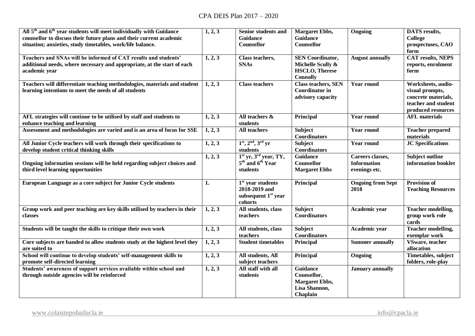| All 5 <sup>th</sup> and 6 <sup>th</sup> year students will meet individually with Guidance<br>counsellor to discuss their future plans and their current academic<br>situation; anxieties, study timetables, work/life balance. | 1, 2, 3 | <b>Senior students and</b><br><b>Guidance</b><br>Counsellor                        | <b>Margaret Ebbs,</b><br>Guidance<br>Counsellor                                          | Ongoing                                                 | <b>DATS</b> results,<br><b>College</b><br>prospectuses, CAO<br>form                                       |
|---------------------------------------------------------------------------------------------------------------------------------------------------------------------------------------------------------------------------------|---------|------------------------------------------------------------------------------------|------------------------------------------------------------------------------------------|---------------------------------------------------------|-----------------------------------------------------------------------------------------------------------|
| Teachers and SNAs will be informed of CAT results and students'<br>additional needs, where necessary and appropriate, at the start of each<br>academic year                                                                     | 1, 2, 3 | Class teachers,<br><b>SNAs</b>                                                     | <b>SEN Coordinator,</b><br>Michelle Scully &<br><b>HSCLO, Therese</b><br><b>Connolly</b> | <b>August annually</b>                                  | <b>CAT results, NEPS</b><br>reports, enrolment<br>form                                                    |
| Teachers will differentiate teaching methodologies, materials and student<br>learning intentions to meet the needs of all students                                                                                              | 1, 2, 3 | <b>Class teachers</b>                                                              | <b>Class teachers, SEN</b><br><b>Coordinator</b> in<br>advisory capacity                 | <b>Year round</b>                                       | Worksheets, audio-<br>visual prompts,<br>concrete materials,<br>teacher and student<br>produced resources |
| AFL strategies will continue to be utilised by staff and students to<br>enhance teaching and learning                                                                                                                           | 1, 2, 3 | All teachers &<br>students                                                         | Principal                                                                                | <b>Year round</b>                                       | <b>AFL</b> materials                                                                                      |
| Assessment and methodologies are varied and is an area of focus for SSE                                                                                                                                                         | 1, 2, 3 | All teachers                                                                       | <b>Subject</b><br><b>Coordinators</b>                                                    | <b>Year round</b>                                       | <b>Teacher prepared</b><br>materials                                                                      |
| All Junior Cycle teachers will work through their specifications to<br>develop student critical thinking skills                                                                                                                 | 1, 2, 3 | $1st, 2nd, 3rd yr$<br>students                                                     | <b>Subject</b><br>Coordinators                                                           | <b>Year round</b>                                       | <b>JC</b> Specifications                                                                                  |
| Ongoing information sessions will be held regarding subject choices and<br>third level learning opportunities                                                                                                                   | 1, 2, 3 | $1st$ yr, $3rd$ year, TY,<br>5 <sup>th</sup> and 6 <sup>th</sup> Year<br>students  | <b>Guidance</b><br>Counsellor<br><b>Margaret Ebbs</b>                                    | Careers classes,<br><b>Information</b><br>evenings etc. | <b>Subject outline</b><br>information booklet                                                             |
| European Language as a core subject for Junior Cycle students                                                                                                                                                                   | 1.      | $1st$ year students<br>2018-2019 and<br>subsequent 1 <sup>st</sup> year<br>cohorts | Principal                                                                                | <b>Ongoing from Sept</b><br>2018                        | <b>Provision of</b><br><b>Teaching Resources</b>                                                          |
| Group work and peer teaching are key skills utilised by teachers in their<br>classes                                                                                                                                            | 1, 2, 3 | All students, class<br>teachers                                                    | <b>Subject</b><br>Coordinators                                                           | Academic year                                           | Teacher modelling,<br>group work role<br>cards                                                            |
| Students will be taught the skills to critique their own work                                                                                                                                                                   | 1, 2, 3 | All students, class<br>teachers                                                    | <b>Subject</b><br><b>Coordinators</b>                                                    | Academic year                                           | Teacher modelling,<br>exemplar work                                                                       |
| Core subjects are banded to allow students study at the highest level they<br>are suited to                                                                                                                                     | 1, 2, 3 | <b>Student timetables</b>                                                          | Principal                                                                                | <b>Summer annually</b>                                  | VSware, teacher<br>allocation                                                                             |
| School will continue to develop students' self-management skills to<br>promote self-directed learning                                                                                                                           | 1, 2, 3 | All students, All<br>subject teachers                                              | Principal                                                                                | Ongoing                                                 | Timetables, subject<br>folders, role-play                                                                 |
| Students' awareness of support services available within school and<br>through outside agencies will be reinforced                                                                                                              | 1, 2, 3 | All staff with all<br>students                                                     | <b>Guidance</b><br>Counsellor,<br><b>Margaret Ebbs,</b><br>Lisa Shannon,<br>Chaplain     | <b>January annually</b>                                 |                                                                                                           |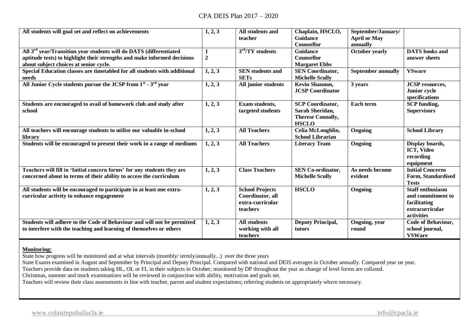| All students will goal set and reflect on achievements                                                                                                                                               | 1, 2, 3               | All students and<br>teacher                                                | Chaplain, HSCLO,<br><b>Guidance</b><br><b>Counsellor</b>                               | September/January/<br><b>April or May</b><br>annually |                                                                                               |
|------------------------------------------------------------------------------------------------------------------------------------------------------------------------------------------------------|-----------------------|----------------------------------------------------------------------------|----------------------------------------------------------------------------------------|-------------------------------------------------------|-----------------------------------------------------------------------------------------------|
| All 3 <sup>rd</sup> year/Transition year students will do DATS (differentiated<br>aptitude tests) to highlight their strengths and make informed decisions<br>about subject choices at senior cycle. | 1<br>$\boldsymbol{2}$ | $3rd/TY$ students                                                          | <b>Guidance</b><br>Counsellor<br><b>Margaret Ebbs</b>                                  | <b>October yearly</b>                                 | <b>DATS</b> books and<br>answer sheets                                                        |
| Special Education classes are timetabled for all students with additional<br>needs                                                                                                                   | 1, 2, 3               | <b>SEN</b> students and<br><b>SETs</b>                                     | <b>SEN Coordinator,</b><br><b>Michelle Scully</b>                                      | <b>September annually</b>                             | <b>VSware</b>                                                                                 |
| All Junior Cycle students pursue the JCSP from 1 <sup>st</sup> - 3 <sup>rd</sup> year                                                                                                                | 1, 2, 3               | All junior students                                                        | Kevin Shannon,<br><b>JCSP Coordinator</b>                                              | 3 years                                               | <b>JCSP</b> resources,<br>Junior cycle<br>specifications                                      |
| Students are encouraged to avail of homework club and study after<br>school                                                                                                                          | 1, 2, 3               | Exam students,<br>targeted students                                        | <b>SCP Coordinator,</b><br>Sarah Sheridan,<br><b>Therese Connolly,</b><br><b>HSCLO</b> | Each term                                             | <b>SCP</b> funding,<br><b>Supervisors</b>                                                     |
| All teachers will encourage students to utilise our valuable in-school<br>library                                                                                                                    | 1, 2, 3               | <b>All Teachers</b>                                                        | Celia McLoughlin,<br><b>School Librarian</b>                                           | Ongoing                                               | <b>School Library</b>                                                                         |
| Students will be encouraged to present their work in a range of mediums                                                                                                                              | 1, 2, 3               | <b>All Teachers</b>                                                        | <b>Literacy Team</b>                                                                   | Ongoing                                               | Display boards,<br><b>ICT, Video</b><br>recording<br>equipment                                |
| Teachers will fill in 'Initial concern forms' for any students they are<br>concerned about in terms of their ability to access the curriculum                                                        | 1, 2, 3               | <b>Class Teachers</b>                                                      | <b>SEN Co-ordinator,</b><br><b>Michelle Scully</b>                                     | As needs become<br>evident                            | <b>Initial Concerns</b><br>Form, Standardised<br><b>Tests</b>                                 |
| All students will be encouraged to participate in at least one extra-<br>curricular activity to enhance engagement                                                                                   | 1, 2, 3               | <b>School Projects</b><br>Coordinator, all<br>extra-curricular<br>teachers | <b>HSCLO</b>                                                                           | Ongoing                                               | <b>Staff enthusiasm</b><br>and commitment to<br>facilitating<br>extracurricular<br>activities |
| Students will adhere to the Code of Behaviour and will not be permitted<br>to interfere with the teaching and learning of themselves or others                                                       | 1, 2, 3               | <b>All students</b><br>working with all<br>teachers                        | <b>Deputy Principal,</b><br>tutors                                                     | Ongoing, year<br>round                                | Code of Behaviour,<br>school journal,<br><b>VSWare</b>                                        |

#### **Monitoring:**

State how progress will be monitored and at what intervals (monthly/ termly/annually...) over the three years

State Exams examined in August and September by Principal and Deputy Principal. Compared with national and DEIS averages in October annually. Compared year on year.

Teachers provide data on students taking HL, OL or FL in their subjects in October; monitored by DP throughout the year as change of level forms are collated.

Christmas, summer and mock examinations will be reviewed in conjunction with ability, motivation and goals set.

Teachers will review their class assessments in line with teacher, parent and student expectations; referring students on appropriately where necessary.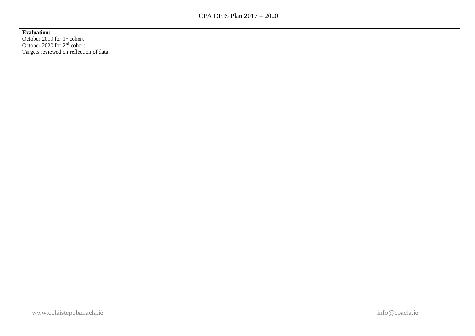**Evaluation:**

October 2019 for 1<sup>st</sup> cohort October 2020 for 2nd cohort Targets reviewed on reflection of data.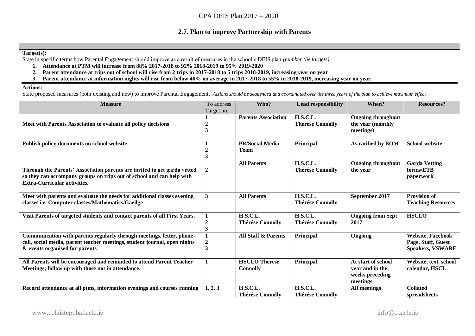## **2.7. Plan to improve Partnership with Parents**

#### **Target(s):**

State in specific terms how Parental Engagement should improve as a result of measures in the school's DEIS plan *(number the targets)*

- **1. Attendance at PTM will increase from 88% 2017-2018 to 92% 2018-2019 to 95% 2019-2020**
- **2. Parent attendance at trips out of school will rise from 2 trips in 2017-2018 to 5 trips 2018-2019, increasing year on year**
- **3. Parent attendance at information nights will rise from below 40% on average in 2017-2018 to 55% in 2018-2019, increasing year on year.**

#### **Actions:**

State proposed measures (both existing and new) to improve Parental Engagement. *Actions should be sequenced and coordinated over the three years of the plan to achieve maximum effect*

| <b>Measure</b>                                                                                                                                                                           | To address<br>Target no.                    | Who?                                       | <b>Lead responsibility</b>                 | When?                                                                | <b>Resources?</b>                                                         |
|------------------------------------------------------------------------------------------------------------------------------------------------------------------------------------------|---------------------------------------------|--------------------------------------------|--------------------------------------------|----------------------------------------------------------------------|---------------------------------------------------------------------------|
| Meet with Parents Association to evaluate all policy decisions                                                                                                                           | $\overline{2}$<br>3                         | <b>Parents Association</b>                 | H.S.C.L.<br><b>Thérése Connolly</b>        | <b>Ongoing throughout</b><br>the year (monthly<br>meetings)          |                                                                           |
| Publish policy documents on school website                                                                                                                                               | 3                                           | <b>PR/Social Media</b><br><b>Team</b>      | Principal                                  | As ratified by BOM                                                   | <b>School website</b>                                                     |
| Through the Parents' Association parents are invited to get garda vetted<br>so they can accompany groups on trips out of school and can help with<br><b>Extra-Curricular activities.</b> | $\overline{2}$                              | <b>All Parents</b>                         | <b>H.S.C.L.</b><br><b>Thérése Connolly</b> | <b>Ongoing throughout</b><br>the year                                | <b>Garda Vetting</b><br>forms/ETB<br>paperwork                            |
| Meet with parents and evaluate the needs for additional classes evening<br>classes i.e. Computer classes/Mathematics/Gaeilge                                                             | $\mathbf{3}$                                | <b>All Parents</b>                         | <b>H.S.C.L.</b><br><b>Thérése Connolly</b> | September 2017                                                       | <b>Provision of</b><br><b>Teaching Resources</b>                          |
| Visit Parents of targeted students and contact parents of all First Years.                                                                                                               | $\overline{2}$<br>$\overline{\mathbf{3}}$   | <b>H.S.C.L.</b><br><b>Thérése Connolly</b> | <b>H.S.C.L.</b><br><b>Thérése Connolly</b> | <b>Ongoing from Sept</b><br>2017                                     | <b>HSCLO</b>                                                              |
| Communication with parents regularly through meetings, letter, phone-<br>call, social media, parent teacher meetings, student journal, open nights<br>& events organised for parents     | $\boldsymbol{2}$<br>$\overline{\mathbf{3}}$ | <b>All Staff &amp; Parents</b>             | Principal                                  | Ongoing                                                              | <b>Website, Facebook</b><br>Page, Staff, Guest<br><b>Speakers, VSWARE</b> |
| All Parents will be encouraged and reminded to attend Parent Teacher<br>Meetings; follow up with those not in attendance.                                                                |                                             | <b>HSCLO</b> Therese<br><b>Connolly</b>    | Principal                                  | At start of school<br>year and in the<br>weeks preceding<br>meetings | Website, text, school<br>calendar, HSCL                                   |
| Record attendance at all ptms, information evenings and courses running                                                                                                                  | 1, 2, 3                                     | <b>H.S.C.L.</b><br><b>Thérése Connolly</b> | <b>H.S.C.L.</b><br><b>Thérése Connolly</b> | <b>All meetings</b>                                                  | <b>Collated</b><br>spreadsheets                                           |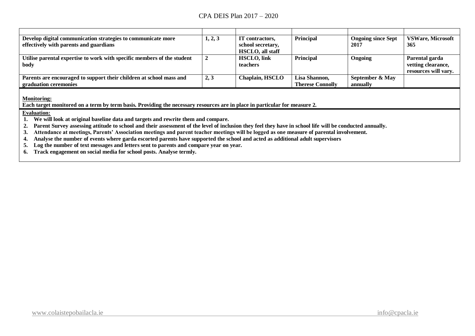| Develop digital communication strategies to communicate more<br>effectively with parents and guardians | 1, 2, 3 | IT contractors,<br>school secretary,<br><b>HSCLO</b> , all staff | <b>Principal</b>        | <b>Ongoing since Sept</b><br>2017 | <b>VSWare, Microsoft</b><br>365      |
|--------------------------------------------------------------------------------------------------------|---------|------------------------------------------------------------------|-------------------------|-----------------------------------|--------------------------------------|
| Utilise parental expertise to work with specific members of the student<br>body                        |         | <b>HSCLO, link</b><br><b>teachers</b>                            | <b>Principal</b>        | Ongoing                           | Parental garda<br>vetting clearance, |
|                                                                                                        |         |                                                                  |                         |                                   | resources will vary.                 |
| Parents are encouraged to support their children at school mass and                                    | 2, 3    | <b>Chaplain, HSCLO</b>                                           | Lisa Shannon.           | September & May                   |                                      |
| graduation ceremonies                                                                                  |         |                                                                  | <b>Therese Connolly</b> | annually                          |                                      |

**Monitoring:**

**Each target monitored on a term by term basis. Providing the necessary resources are in place in particular for measure 2.**

#### **Evaluation:**

**1. We will look at original baseline data and targets and rewrite them and compare.**

**2. Parent Survey assessing attitude to school and their assessment of the level of inclusion they feel they have in school life will be conducted annually.** 

**3. Attendance at meetings, Parents' Association meetings and parent teacher meetings will be logged as one measure of parental involvement.**

**4. Analyse the number of events where garda escorted parents have supported the school and acted as additional adult supervisors**

**5. Log the number of text messages and letters sent to parents and compare year on year.**

**6. Track engagement on social media for school posts. Analyse termly.**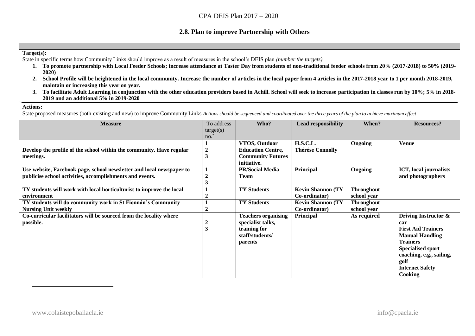## **2.8. Plan to improve Partnership with Others**

#### **Target(s):**

State in specific terms how Community Links should improve as a result of measures in the school's DEIS plan *(number the targets)*

- **1. To promote partnership with Local Feeder Schools; increase attendance at Taster Day from students of non-traditional feeder schools from 20% (2017-2018) to 50% (2019- 2020)**
- **2. School Profile will be heightened in the local community. Increase the number of articles in the local paper from 4 articles in the 2017-2018 year to 1 per month 2018-2019, maintain or increasing this year on year.**
- **3. To facilitate Adult Learning in conjunction with the other education providers based in Achill. School will seek to increase participation in classes run by 10%; 5% in 2018- 2019 and an additional 5% in 2019-2020**

#### **Actions:**

 $\overline{a}$ 

State proposed measures (both existing and new) to improve Community Links *Actions should be sequenced and coordinated over the three years of the plan to achieve maximum effect*

| <b>Measure</b>                                                       | To address              | Who?                       | <b>Lead responsibility</b> | When?             | <b>Resources?</b>         |
|----------------------------------------------------------------------|-------------------------|----------------------------|----------------------------|-------------------|---------------------------|
|                                                                      | target(s)               |                            |                            |                   |                           |
|                                                                      | no.                     |                            |                            |                   |                           |
|                                                                      |                         | VTOS, Outdoor              | <b>H.S.C.L.</b>            | Ongoing           | <b>Venue</b>              |
| Develop the profile of the school within the community. Have regular | $\overline{\mathbf{2}}$ | <b>Education Centre,</b>   | <b>Thérése Connolly</b>    |                   |                           |
| meetings.                                                            | 3                       | <b>Community Futures</b>   |                            |                   |                           |
|                                                                      |                         | initiative.                |                            |                   |                           |
| Use website, Facebook page, school newsletter and local newspaper to |                         | <b>PR/Social Media</b>     | Principal                  | <b>Ongoing</b>    | ICT, local journalists    |
| publicise school activities, accomplishments and events.             |                         | <b>Team</b>                |                            |                   | and photographers         |
|                                                                      |                         |                            |                            |                   |                           |
| TY students will work with local horticulturist to improve the local |                         | <b>TY Students</b>         | <b>Kevin Shannon (TY</b>   | <b>Throughout</b> |                           |
| environment                                                          |                         |                            | Co-ordinator)              | school year       |                           |
| TY students will do community work in St Fionnán's Community         |                         | <b>TY Students</b>         | <b>Kevin Shannon (TY)</b>  | <b>Throughout</b> |                           |
| <b>Nursing Unit weekly</b>                                           | $\overline{2}$          |                            | Co-ordinator)              | school year       |                           |
| Co-curricular facilitators will be sourced from the locality where   |                         | <b>Teachers organising</b> | <b>Principal</b>           | As required       | Driving Instructor &      |
| possible.                                                            | 2                       | specialist talks,          |                            |                   | car                       |
|                                                                      | 3                       | training for               |                            |                   | <b>First Aid Trainers</b> |
|                                                                      |                         | staff/students/            |                            |                   | <b>Manual Handling</b>    |
|                                                                      |                         | parents                    |                            |                   | <b>Trainers</b>           |
|                                                                      |                         |                            |                            |                   | <b>Specialised sport</b>  |
|                                                                      |                         |                            |                            |                   | coaching, e.g., sailing,  |
|                                                                      |                         |                            |                            |                   | golf                      |
|                                                                      |                         |                            |                            |                   | <b>Internet Safety</b>    |
|                                                                      |                         |                            |                            |                   | <b>Cooking</b>            |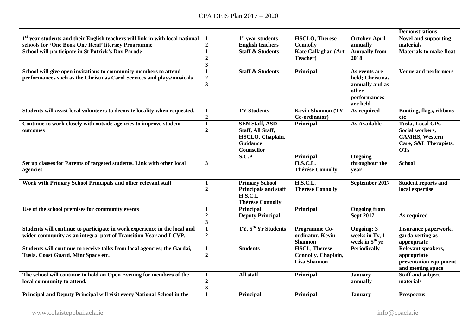|                                                                                                                                               |                                                             |                                                                                                 |                                                                    |                                                                                           | <b>Demonstrations</b>                                                                                 |
|-----------------------------------------------------------------------------------------------------------------------------------------------|-------------------------------------------------------------|-------------------------------------------------------------------------------------------------|--------------------------------------------------------------------|-------------------------------------------------------------------------------------------|-------------------------------------------------------------------------------------------------------|
| $1st$ year students and their English teachers will link in with local national                                                               |                                                             | $1st$ year students                                                                             | <b>HSCLO, Therese</b>                                              | October-April                                                                             | <b>Novel and supporting</b>                                                                           |
| schools for 'One Book One Read' literacy Programme                                                                                            | $\mathbf 2$                                                 | <b>English teachers</b>                                                                         | <b>Connolly</b>                                                    | annually                                                                                  | materials                                                                                             |
| School will participate in St Patrick's Day Parade                                                                                            | $\mathbf{1}$<br>$\boldsymbol{2}$<br>3                       | <b>Staff &amp; Students</b>                                                                     | <b>Kate Callaghan (Art</b><br>Teacher)                             | <b>Annually from</b><br>2018                                                              | <b>Materials to make float</b>                                                                        |
| School will give open invitations to community members to attend<br>performances such as the Christmas Carol Services and plays/musicals      | $\mathbf{1}$<br>$\boldsymbol{2}$<br>$\overline{\mathbf{3}}$ | <b>Staff &amp; Students</b>                                                                     | Principal                                                          | As events are<br>held; Christmas<br>annually and as<br>other<br>performances<br>are held. | <b>Venue and performers</b>                                                                           |
| Students will assist local volunteers to decorate locality when requested.                                                                    | 1<br>$\mathbf 2$                                            | <b>TY Students</b>                                                                              | <b>Kevin Shannon (TY)</b><br>Co-ordinator)                         | As required                                                                               | <b>Bunting, flags, ribbons</b><br>etc                                                                 |
| Continue to work closely with outside agencies to improve student<br>outcomes                                                                 | $\overline{1}$<br>$\overline{2}$                            | <b>SEN Staff, ASD</b><br>Staff, All Staff,<br>HSCLO, Chaplain,<br><b>Guidance</b><br>Counsellor | Principal                                                          | <b>As Available</b>                                                                       | Tusla, Local GPs,<br>Social workers,<br><b>CAMHS</b> , Western<br>Care, S&L Therapists,<br><b>OTs</b> |
| Set up classes for Parents of targeted students. Link with other local<br>agencies                                                            | 3                                                           | S.C.P                                                                                           | <b>Principal</b><br><b>H.S.C.L.</b><br><b>Thérése Connolly</b>     | Ongoing<br>throughout the<br>year                                                         | <b>School</b>                                                                                         |
| Work with Primary School Principals and other relevant staff                                                                                  | $\mathbf{1}$<br>$\overline{2}$                              | <b>Primary School</b><br>Principals and staff<br>H.S.C.L<br><b>Thérése Connolly</b>             | <b>H.S.C.L.</b><br><b>Thérése Connolly</b>                         | September 2017                                                                            | <b>Student reports and</b><br>local expertise                                                         |
| Use of the school premises for community events                                                                                               | $\mathbf{1}$<br>$\overline{2}$<br>$\overline{\mathbf{3}}$   | Principal<br><b>Deputy Principal</b>                                                            | Principal                                                          | <b>Ongoing from</b><br><b>Sept 2017</b>                                                   | As required                                                                                           |
| Students will continue to participate in work experience in the local and<br>wider community as an integral part of Transition Year and LCVP. | $\mathbf{1}$<br>$\overline{2}$                              | TY, 5 <sup>th</sup> Yr Students                                                                 | Programme Co-<br>ordinator, Kevin<br><b>Shannon</b>                | Ongoing; 3<br>weeks in Ty, 1<br>week in 5 <sup>th</sup> yr                                | Insurance paperwork,<br>garda vetting as<br>appropriate                                               |
| Students will continue to receive talks from local agencies; the Gardai,<br>Tusla, Coast Guard, MindSpace etc.                                | $\mathbf{1}$<br>$\overline{2}$                              | <b>Students</b>                                                                                 | <b>HSCL, Therese</b><br>Connolly, Chaplain,<br><b>Lisa Shannon</b> | <b>Periodically</b>                                                                       | Relevant speakers,<br>appropriate<br>presentation equipment<br>and meeting space                      |
| The school will continue to hold an Open Evening for members of the<br>local community to attend.                                             | $\mathbf{1}$<br>$\overline{2}$<br>$\overline{\mathbf{3}}$   | All staff                                                                                       | <b>Principal</b>                                                   | <b>January</b><br>annually                                                                | <b>Staff and subject</b><br>materials                                                                 |
| Principal and Deputy Principal will visit every National School in the                                                                        | $\mathbf{1}$                                                | <b>Principal</b>                                                                                | <b>Principal</b>                                                   | <b>January</b>                                                                            | <b>Prospectus</b>                                                                                     |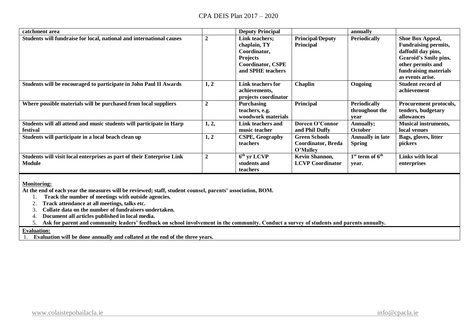| catchment area                                                                          |                | <b>Deputy Principal</b>                                                                                            |                                                        | annually                                      |                                                                                                                                                                  |
|-----------------------------------------------------------------------------------------|----------------|--------------------------------------------------------------------------------------------------------------------|--------------------------------------------------------|-----------------------------------------------|------------------------------------------------------------------------------------------------------------------------------------------------------------------|
| Students will fundraise for local, national and international causes                    | $\overline{2}$ | Link teachers;<br>chaplain, TY<br>Coordinator,<br><b>Projects</b><br><b>Coordinator, CSPE</b><br>and SPHE teachers | <b>Principal/Deputy</b><br>Principal                   | <b>Periodically</b>                           | Shoe Box Appeal,<br><b>Fundraising permits,</b><br>daffodil day pins,<br>Gearoid's Smile pins,<br>other permits and<br>fundraising materials<br>as events arise. |
| Students will be encouraged to participate in John Paul II Awards                       | 1, 2           | Link teachers for<br>achievements,<br>projects coordinator                                                         | Chaplin                                                | Ongoing                                       | <b>Student record of</b><br>achievement                                                                                                                          |
| Where possible materials will be purchased from local suppliers                         | $\overline{2}$ | <b>Purchasing</b><br>teachers, e.g.<br>woodwork materials                                                          | Principal                                              | <b>Periodically</b><br>throughout the<br>vear | Procurement protocols,<br>tenders, budgetary<br>allowances                                                                                                       |
| Students will all attend and music students will participate in Harp<br>festival        | 1, 2,          | Link teachers and<br>music teacher                                                                                 | Doreen O'Connor<br>and Phil Duffy                      | <b>Annually;</b><br>October                   | <b>Musical instruments,</b><br>local venues                                                                                                                      |
| Students will participate in a local beach clean up                                     | 1, 2           | <b>CSPE, Geography</b><br><b>teachers</b>                                                                          | <b>Green Schools</b><br>Coordinator, Breda<br>O'Malley | <b>Annually in late</b><br><b>Spring</b>      | Bags, gloves, litter<br>pickers                                                                                                                                  |
| Students will visit local enterprises as part of their Enterprise Link<br><b>Module</b> | $\overline{2}$ | $6th$ yr LCVP<br>students and<br><b>teachers</b>                                                                   | Kevin Shannon,<br><b>LCVP Coordinator</b>              | $1st$ term of $6th$<br>year.                  | Links with local<br>enterprises                                                                                                                                  |

#### **Monitoring:**

**At the end of each year the measures will be reviewed; staff, student counsel, parents' association, BOM.**

1. **Track the number of meetings with outside agencies.**

2. **Track attendance at all meetings, talks etc.**

3. **Collate data on the number of fundraisers undertaken.**

4. **Document all articles published in local media.**

5. **Ask for parent and community leaders' feedback on school involvement in the community. Conduct a survey of students and parents annually.**

#### **Evaluation:**

1. **Evaluation will be done annually and collated at the end of the three years.**